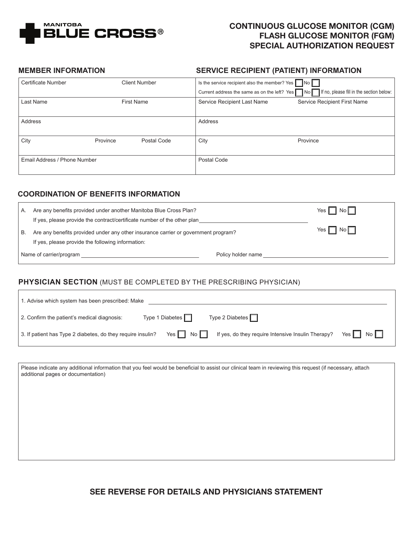

# CONTINUOUS GLUCOSE MONITOR (CGM) FLASH GLUCOSE MONITOR (FGM) SPECIAL AUTHORIZATION REQUEST

#### **MEMBER INFORMATION**

٦

٦

#### **SERVICE RECIPIENT (PATIENT) INFORMATION**

| <b>Certificate Number</b>    |          | Client Number     | Is the service recipient also the member? Yes | $\overline{\phantom{a}}$ No $\overline{\phantom{a}}$                                                   |
|------------------------------|----------|-------------------|-----------------------------------------------|--------------------------------------------------------------------------------------------------------|
|                              |          |                   |                                               | Current address the same as on the left? Yes $\Box$ No $\Box$ If no, please fill in the section below: |
| Last Name                    |          | <b>First Name</b> | Service Recipient Last Name                   | Service Recipient First Name                                                                           |
|                              |          |                   |                                               |                                                                                                        |
| Address                      |          |                   | Address                                       |                                                                                                        |
|                              |          |                   |                                               |                                                                                                        |
| City                         | Province | Postal Code       | City                                          | Province                                                                                               |
|                              |          |                   |                                               |                                                                                                        |
| Email Address / Phone Number |          | Postal Code       |                                               |                                                                                                        |
|                              |          |                   |                                               |                                                                                                        |

## **COORDINATION OF BENEFITS INFORMATION**

| А.                      | Are any benefits provided under another Manitoba Blue Cross Plan?                                                                       |                    | No<br>Yes    |
|-------------------------|-----------------------------------------------------------------------------------------------------------------------------------------|--------------------|--------------|
|                         | If yes, please provide the contract/certificate number of the other plan                                                                |                    |              |
| В.                      | Are any benefits provided under any other insurance carrier or government program?<br>If yes, please provide the following information: |                    | No<br>Yes II |
| Name of carrier/program |                                                                                                                                         | Policy holder name |              |

#### **PHYSICIAN SECTION** (MUST BE COMPLETED BY THE PRESCRIBING PHYSICIAN)

| 1. Advise which system has been prescribed: Make            |                        |                                                    |                     |  |
|-------------------------------------------------------------|------------------------|----------------------------------------------------|---------------------|--|
| 2. Confirm the patient's medical diagnosis:                 | Type 1 Diabetes $\Box$ | Type 2 Diabetes $\Box$                             |                     |  |
| 3. If patient has Type 2 diabetes, do they require insulin? | Yes $\Box$ No $\Box$   | If yes, do they require Intensive Insulin Therapy? | No<br>Yes $\ $ $\ $ |  |

Please indicate any additional information that you feel would be beneficial to assist our clinical team in reviewing this request (if necessary, attach additional pages or documentation)

SEE REVERSE FOR DETAILS AND PHYSICIANS STATEMENT